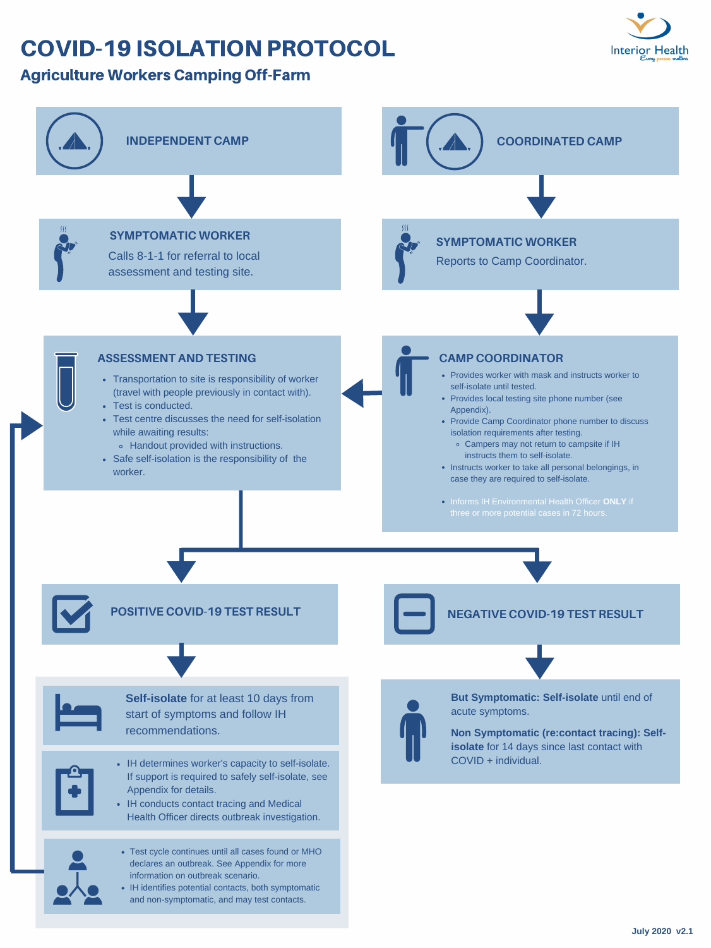Informs IH Environmental Health Officer **ONLY** if three or more potential cases in 72 hours.

- IH determines worker's capacity to self-isolate. If support is required to safely self-isolate, see Appendix for details.
- IH conducts contact tracing and Medical Health Officer directs outbreak investigation.





## COVID-19 ISOLATION PROTOCOL



### Agriculture Workers Camping Off-Farm

**Self-isolate** for at least 10 days from start of symptoms and follow IH recommendations.



- Test cycle continues until all cases found or MHO declares an outbreak. See Appendix for more information on outbreak scenario.
- IH identifies potential contacts, both symptomatic and non-symptomatic, and may test contacts.



**POSITIVE COVID-19 TEST RESULT NEGATIVE COVID-19 TEST RESULT**

**But Symptomatic: Self-isolate** until end of acute symptoms.

**Non Symptomatic (re:contact tracing): Selfisolate** for 14 days since last contact with COVID + individual.